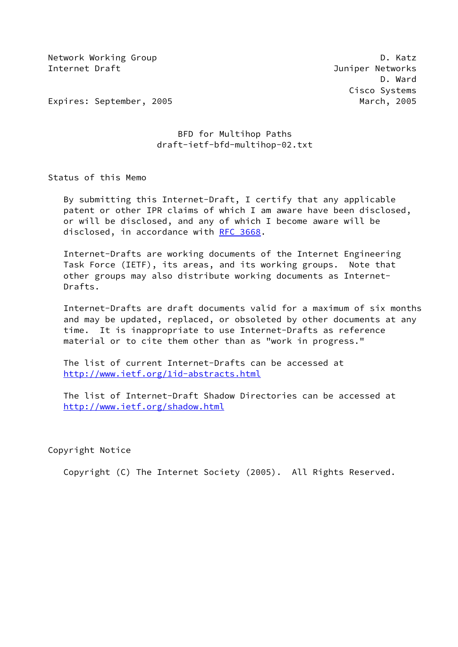Network Working Group **D. Ratz** Internet Draft Juniper Networks

 D. Ward Cisco Systems

Expires: September, 2005 March, 2005

# BFD for Multihop Paths draft-ietf-bfd-multihop-02.txt

Status of this Memo

 By submitting this Internet-Draft, I certify that any applicable patent or other IPR claims of which I am aware have been disclosed, or will be disclosed, and any of which I become aware will be disclosed, in accordance with [RFC 3668](https://datatracker.ietf.org/doc/pdf/rfc3668).

 Internet-Drafts are working documents of the Internet Engineering Task Force (IETF), its areas, and its working groups. Note that other groups may also distribute working documents as Internet- Drafts.

 Internet-Drafts are draft documents valid for a maximum of six months and may be updated, replaced, or obsoleted by other documents at any time. It is inappropriate to use Internet-Drafts as reference material or to cite them other than as "work in progress."

 The list of current Internet-Drafts can be accessed at <http://www.ietf.org/1id-abstracts.html>

 The list of Internet-Draft Shadow Directories can be accessed at <http://www.ietf.org/shadow.html>

Copyright Notice

Copyright (C) The Internet Society (2005). All Rights Reserved.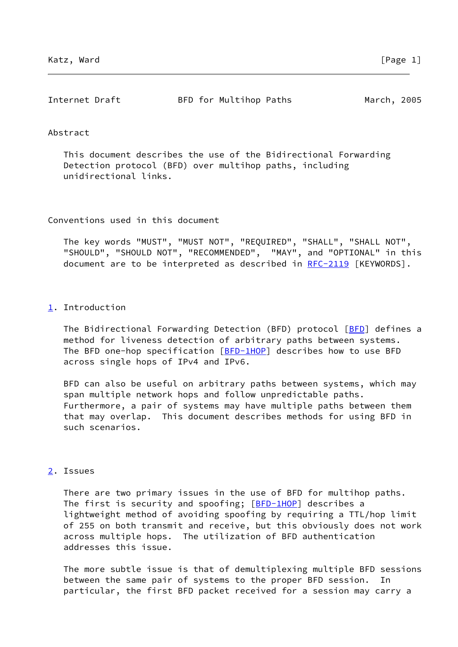| Internet Draft | BFD for Multihop Paths | March, 2005 |  |
|----------------|------------------------|-------------|--|
|                |                        |             |  |

#### Abstract

 This document describes the use of the Bidirectional Forwarding Detection protocol (BFD) over multihop paths, including unidirectional links.

Conventions used in this document

 The key words "MUST", "MUST NOT", "REQUIRED", "SHALL", "SHALL NOT", "SHOULD", "SHOULD NOT", "RECOMMENDED", "MAY", and "OPTIONAL" in this document are to be interpreted as described in [RFC-2119](https://datatracker.ietf.org/doc/pdf/rfc2119) [KEYWORDS].

#### <span id="page-1-0"></span>[1](#page-1-0). Introduction

The Bidirectional Forwarding Detection ([BFD](#page-4-0)) protocol [BFD] defines a method for liveness detection of arbitrary paths between systems. The BFD one-hop specification [[BFD-1HOP\]](#page-2-0) describes how to use BFD across single hops of IPv4 and IPv6.

 BFD can also be useful on arbitrary paths between systems, which may span multiple network hops and follow unpredictable paths. Furthermore, a pair of systems may have multiple paths between them that may overlap. This document describes methods for using BFD in such scenarios.

# <span id="page-1-1"></span>[2](#page-1-1). Issues

 There are two primary issues in the use of BFD for multihop paths. The first is security and spoofing; [\[BFD-1HOP](#page-2-0)] describes a lightweight method of avoiding spoofing by requiring a TTL/hop limit of 255 on both transmit and receive, but this obviously does not work across multiple hops. The utilization of BFD authentication addresses this issue.

 The more subtle issue is that of demultiplexing multiple BFD sessions between the same pair of systems to the proper BFD session. particular, the first BFD packet received for a session may carry a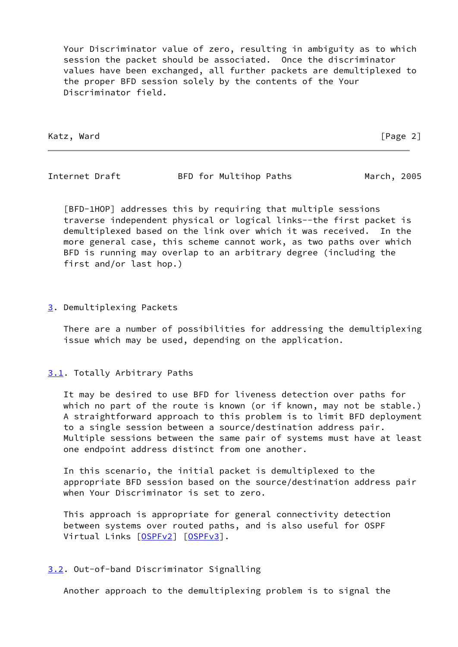Your Discriminator value of zero, resulting in ambiguity as to which session the packet should be associated. Once the discriminator values have been exchanged, all further packets are demultiplexed to the proper BFD session solely by the contents of the Your Discriminator field.

Katz, Ward [Page 2]

Internet Draft **BFD** for Multihop Paths March, 2005

<span id="page-2-0"></span> [BFD-1HOP] addresses this by requiring that multiple sessions traverse independent physical or logical links--the first packet is demultiplexed based on the link over which it was received. In the more general case, this scheme cannot work, as two paths over which BFD is running may overlap to an arbitrary degree (including the first and/or last hop.)

#### <span id="page-2-1"></span>[3](#page-2-1). Demultiplexing Packets

 There are a number of possibilities for addressing the demultiplexing issue which may be used, depending on the application.

### <span id="page-2-2"></span>[3.1](#page-2-2). Totally Arbitrary Paths

 It may be desired to use BFD for liveness detection over paths for which no part of the route is known (or if known, may not be stable.) A straightforward approach to this problem is to limit BFD deployment to a single session between a source/destination address pair. Multiple sessions between the same pair of systems must have at least one endpoint address distinct from one another.

 In this scenario, the initial packet is demultiplexed to the appropriate BFD session based on the source/destination address pair when Your Discriminator is set to zero.

 This approach is appropriate for general connectivity detection between systems over routed paths, and is also useful for OSPF Virtual Links [[OSPFv2](#page-4-1)] [\[OSPFv3](#page-4-2)].

### <span id="page-2-3"></span>[3.2](#page-2-3). Out-of-band Discriminator Signalling

Another approach to the demultiplexing problem is to signal the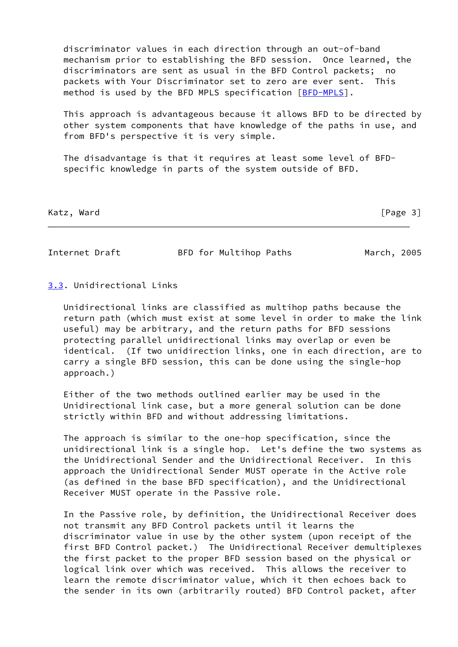discriminator values in each direction through an out-of-band mechanism prior to establishing the BFD session. Once learned, the discriminators are sent as usual in the BFD Control packets; no packets with Your Discriminator set to zero are ever sent. This method is used by the BFD MPLS specification [\[BFD-MPLS](#page-4-3)].

 This approach is advantageous because it allows BFD to be directed by other system components that have knowledge of the paths in use, and from BFD's perspective it is very simple.

 The disadvantage is that it requires at least some level of BFD specific knowledge in parts of the system outside of BFD.

Katz, Ward [Page 3]

Internet Draft **BFD** for Multihop Paths March, 2005

## <span id="page-3-0"></span>[3.3](#page-3-0). Unidirectional Links

 Unidirectional links are classified as multihop paths because the return path (which must exist at some level in order to make the link useful) may be arbitrary, and the return paths for BFD sessions protecting parallel unidirectional links may overlap or even be identical. (If two unidirection links, one in each direction, are to carry a single BFD session, this can be done using the single-hop approach.)

 Either of the two methods outlined earlier may be used in the Unidirectional link case, but a more general solution can be done strictly within BFD and without addressing limitations.

 The approach is similar to the one-hop specification, since the unidirectional link is a single hop. Let's define the two systems as the Unidirectional Sender and the Unidirectional Receiver. In this approach the Unidirectional Sender MUST operate in the Active role (as defined in the base BFD specification), and the Unidirectional Receiver MUST operate in the Passive role.

 In the Passive role, by definition, the Unidirectional Receiver does not transmit any BFD Control packets until it learns the discriminator value in use by the other system (upon receipt of the first BFD Control packet.) The Unidirectional Receiver demultiplexes the first packet to the proper BFD session based on the physical or logical link over which was received. This allows the receiver to learn the remote discriminator value, which it then echoes back to the sender in its own (arbitrarily routed) BFD Control packet, after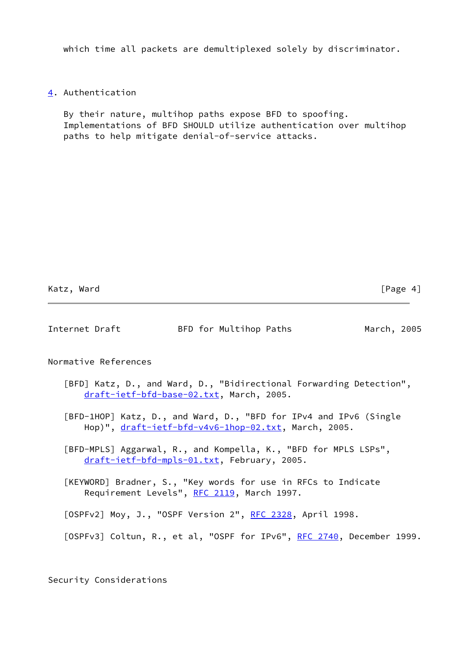which time all packets are demultiplexed solely by discriminator.

<span id="page-4-4"></span>[4](#page-4-4). Authentication

 By their nature, multihop paths expose BFD to spoofing. Implementations of BFD SHOULD utilize authentication over multihop paths to help mitigate denial-of-service attacks.

Katz, Ward [Page 4]

| Internet Draft       | BFD for Multihop Paths                   | March, 2005                                                         |
|----------------------|------------------------------------------|---------------------------------------------------------------------|
| Normative References |                                          |                                                                     |
|                      |                                          | [BFD] Katz, D., and Ward, D., "Bidirectional Forwarding Detection", |
|                      | draft-ietf-bfd-base-02.txt, March, 2005. |                                                                     |

<span id="page-4-0"></span> [BFD-1HOP] Katz, D., and Ward, D., "BFD for IPv4 and IPv6 (Single Hop)", [draft-ietf-bfd-v4v6-1hop-02.txt](https://datatracker.ietf.org/doc/pdf/draft-ietf-bfd-v4v6-1hop-02.txt), March, 2005.

<span id="page-4-3"></span> [BFD-MPLS] Aggarwal, R., and Kompella, K., "BFD for MPLS LSPs", [draft-ietf-bfd-mpls-01.txt,](https://datatracker.ietf.org/doc/pdf/draft-ietf-bfd-mpls-01.txt) February, 2005.

 [KEYWORD] Bradner, S., "Key words for use in RFCs to Indicate Requirement Levels", [RFC 2119](https://datatracker.ietf.org/doc/pdf/rfc2119), March 1997.

<span id="page-4-1"></span>[OSPFv2] Moy, J., "OSPF Version 2", [RFC 2328,](https://datatracker.ietf.org/doc/pdf/rfc2328) April 1998.

Security Considerations

<span id="page-4-2"></span><sup>[</sup>OSPFv3] Coltun, R., et al, "OSPF for IPv6", [RFC 2740](https://datatracker.ietf.org/doc/pdf/rfc2740), December 1999.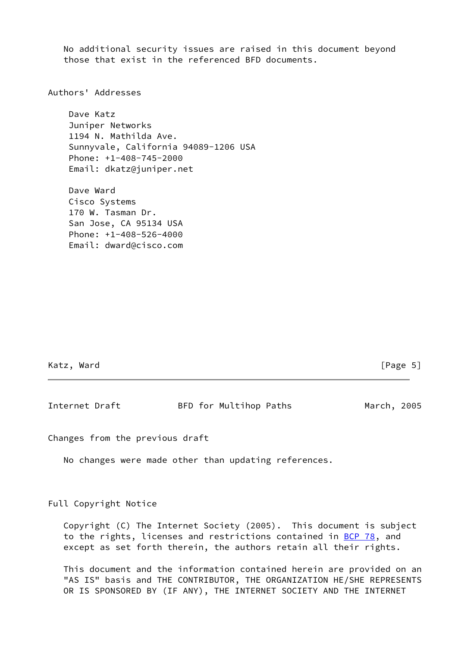No additional security issues are raised in this document beyond those that exist in the referenced BFD documents.

Authors' Addresses

 Dave Katz Juniper Networks 1194 N. Mathilda Ave. Sunnyvale, California 94089-1206 USA Phone: +1-408-745-2000 Email: dkatz@juniper.net

 Dave Ward Cisco Systems 170 W. Tasman Dr. San Jose, CA 95134 USA Phone: +1-408-526-4000 Email: dward@cisco.com

Katz, Ward [Page 5]

Internet Draft BFD for Multihop Paths March, 2005

Changes from the previous draft

No changes were made other than updating references.

Full Copyright Notice

 Copyright (C) The Internet Society (2005). This document is subject to the rights, licenses and restrictions contained in [BCP 78](https://datatracker.ietf.org/doc/pdf/bcp78), and except as set forth therein, the authors retain all their rights.

 This document and the information contained herein are provided on an "AS IS" basis and THE CONTRIBUTOR, THE ORGANIZATION HE/SHE REPRESENTS OR IS SPONSORED BY (IF ANY), THE INTERNET SOCIETY AND THE INTERNET